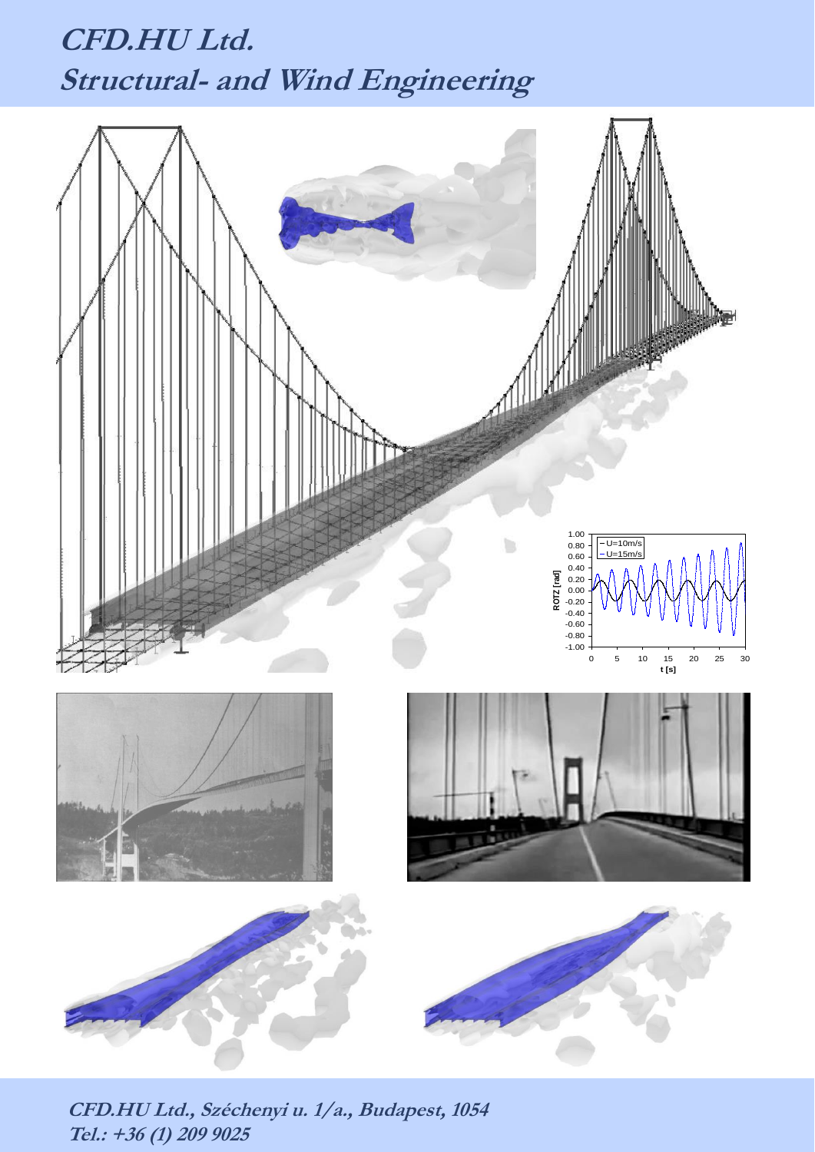## **CFD.HU Ltd. Structural- and Wind Engineering**



**CFD.HU Ltd., Széchenyi u. 1/a., Budapest, <sup>1054</sup> Tel.: +36 (1) 209 9025**